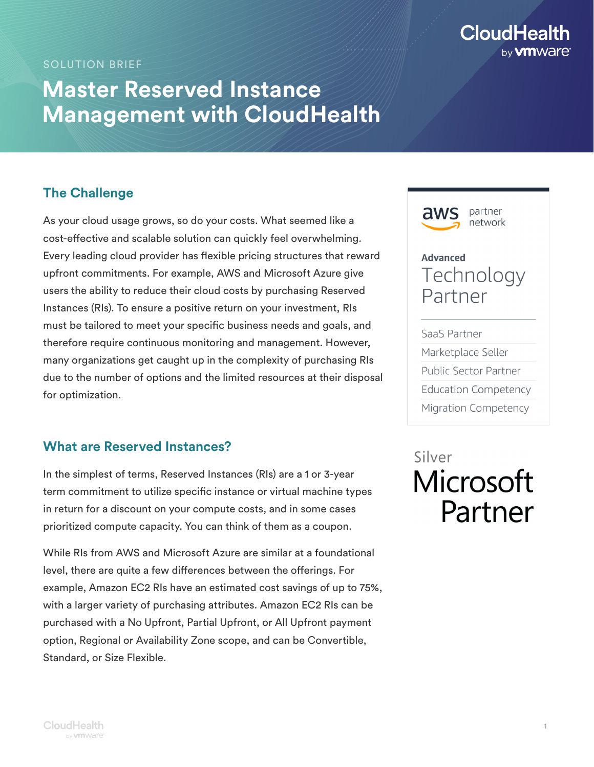## **CloudHealth** by **vm** Ware

#### SOLUTION BRIEF

## **Master Reserved Instance Management with CloudHealth**

## **The Challenge**

As your cloud usage grows, so do your costs. What seemed like a cost-effective and scalable solution can quickly feel overwhelming. Every leading cloud provider has flexible pricing structures that reward upfront commitments. For example, AWS and Microsoft Azure give users the ability to reduce their cloud costs by purchasing Reserved Instances (RIs). To ensure a positive return on your investment, RIs must be tailored to meet your specific business needs and goals, and therefore require continuous monitoring and management. However, many organizations get caught up in the complexity of purchasing RIs due to the number of options and the limited resources at their disposal for optimization.

### **What are Reserved Instances?**

In the simplest of terms, Reserved Instances (RIs) are a 1 or 3-year term commitment to utilize specific instance or virtual machine types in return for a discount on your compute costs, and in some cases prioritized compute capacity. You can think of them as a coupon.

While RIs from AWS and Microsoft Azure are similar at a foundational level, there are quite a few differences between the offerings. For example, Amazon EC2 RIs have an estimated cost savings of up to 75%, with a larger variety of purchasing attributes. Amazon EC2 RIs can be purchased with a No Upfront, Partial Upfront, or All Upfront payment option, Regional or Availability Zone scope, and can be Convertible, Standard, or Size Flexible.



# Silver Microsoft Partner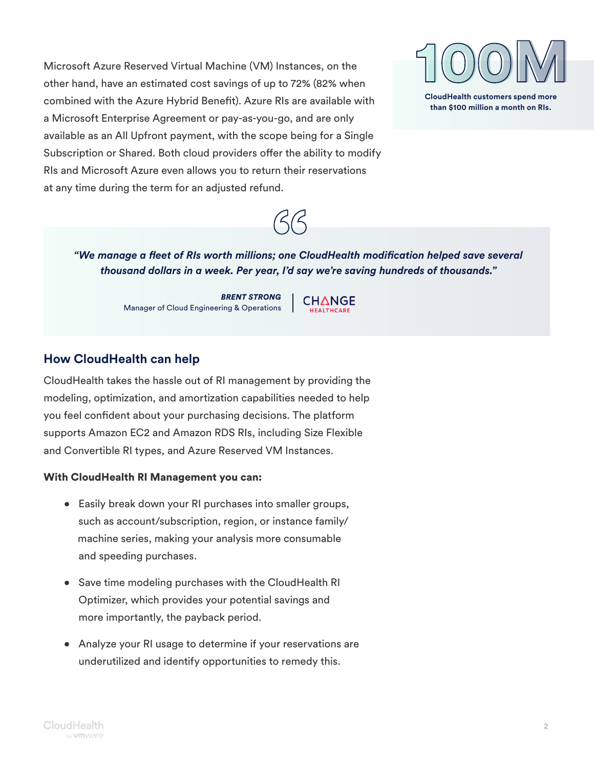Microsoft Azure Reserved Virtual Machine (VM) Instances, on the other hand, have an estimated cost savings of up to 72% (82% when combined with the Azure Hybrid Benefit). Azure RIs are available with a Microsoft Enterprise Agreement or pay-as-you-go, and are only available as an All Upfront payment, with the scope being for a Single Subscription or Shared. Both cloud providers offer the ability to modify RIs and Microsoft Azure even allows you to return their reservations at any time during the term for an adjusted refund.





*"We manage a fleet of RIs worth millions; one CloudHealth modification helped save several thousand dollars in a week. Per year, I'd say we're saving hundreds of thousands."*

> *BRENT STRONG* Manager of Cloud Engineering & Operations

CHANGE **HEALTHCARE** 

### **How CloudHealth can help**

CloudHealth takes the hassle out of RI management by providing the modeling, optimization, and amortization capabilities needed to help you feel confident about your purchasing decisions. The platform supports Amazon EC2 and Amazon RDS RIs, including Size Flexible and Convertible RI types, and Azure Reserved VM Instances.

#### With CloudHealth RI Management you can:

- Easily break down your RI purchases into smaller groups, such as account/subscription, region, or instance family/ machine series, making your analysis more consumable and speeding purchases.
- Save time modeling purchases with the CloudHealth RI Optimizer, which provides your potential savings and more importantly, the payback period.
- Analyze your RI usage to determine if your reservations are underutilized and identify opportunities to remedy this.